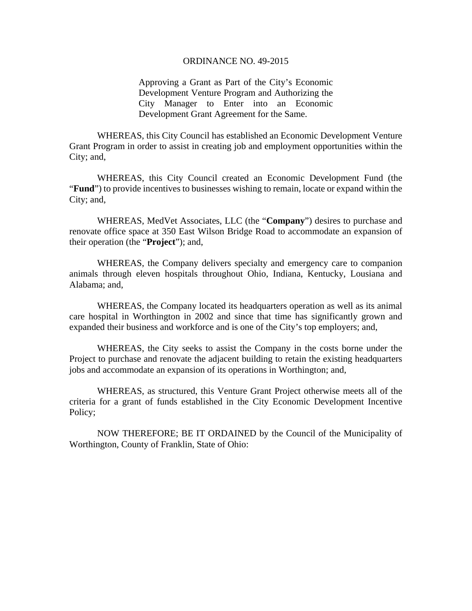#### ORDINANCE NO. 49-2015

Approving a Grant as Part of the City's Economic Development Venture Program and Authorizing the City Manager to Enter into an Economic Development Grant Agreement for the Same.

WHEREAS, this City Council has established an Economic Development Venture Grant Program in order to assist in creating job and employment opportunities within the City; and,

WHEREAS, this City Council created an Economic Development Fund (the "**Fund**") to provide incentives to businesses wishing to remain, locate or expand within the City; and,

WHEREAS, MedVet Associates, LLC (the "**Company**") desires to purchase and renovate office space at 350 East Wilson Bridge Road to accommodate an expansion of their operation (the "**Project**"); and,

WHEREAS, the Company delivers specialty and emergency care to companion animals through eleven hospitals throughout Ohio, Indiana, Kentucky, Lousiana and Alabama; and,

WHEREAS, the Company located its headquarters operation as well as its animal care hospital in Worthington in 2002 and since that time has significantly grown and expanded their business and workforce and is one of the City's top employers; and,

WHEREAS, the City seeks to assist the Company in the costs borne under the Project to purchase and renovate the adjacent building to retain the existing headquarters jobs and accommodate an expansion of its operations in Worthington; and,

WHEREAS, as structured, this Venture Grant Project otherwise meets all of the criteria for a grant of funds established in the City Economic Development Incentive Policy;

NOW THEREFORE; BE IT ORDAINED by the Council of the Municipality of Worthington, County of Franklin, State of Ohio: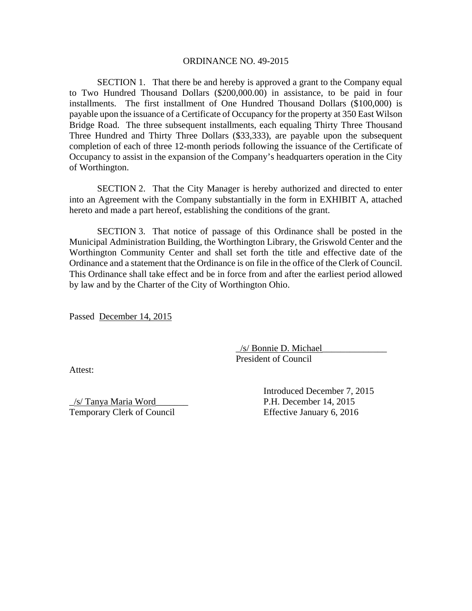#### ORDINANCE NO. 49-2015

SECTION 1. That there be and hereby is approved a grant to the Company equal to Two Hundred Thousand Dollars (\$200,000.00) in assistance, to be paid in four installments. The first installment of One Hundred Thousand Dollars (\$100,000) is payable upon the issuance of a Certificate of Occupancy for the property at 350 East Wilson Bridge Road. The three subsequent installments, each equaling Thirty Three Thousand Three Hundred and Thirty Three Dollars (\$33,333), are payable upon the subsequent completion of each of three 12-month periods following the issuance of the Certificate of Occupancy to assist in the expansion of the Company's headquarters operation in the City of Worthington.

SECTION 2. That the City Manager is hereby authorized and directed to enter into an Agreement with the Company substantially in the form in EXHIBIT A, attached hereto and made a part hereof, establishing the conditions of the grant.

SECTION 3. That notice of passage of this Ordinance shall be posted in the Municipal Administration Building, the Worthington Library, the Griswold Center and the Worthington Community Center and shall set forth the title and effective date of the Ordinance and a statement that the Ordinance is on file in the office of the Clerk of Council. This Ordinance shall take effect and be in force from and after the earliest period allowed by law and by the Charter of the City of Worthington Ohio.

Passed December 14, 2015

\_/s/ Bonnie D. Michael\_\_\_\_\_\_\_\_\_\_\_\_\_\_ President of Council

Attest:

\_/s/ Tanya Maria Word\_\_\_\_\_\_\_ P.H. December 14, 2015 Temporary Clerk of Council Effective January 6, 2016

Introduced December 7, 2015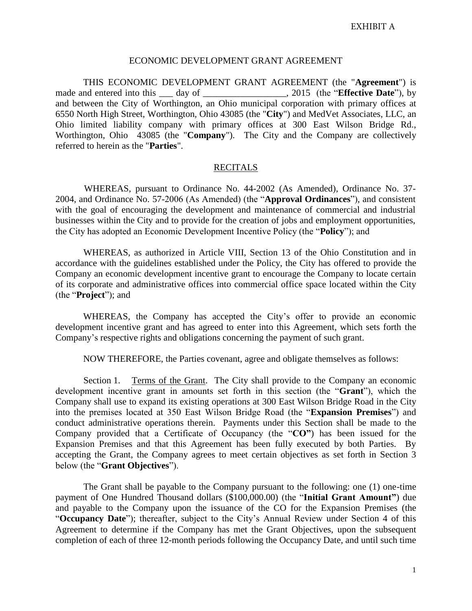### ECONOMIC DEVELOPMENT GRANT AGREEMENT

THIS ECONOMIC DEVELOPMENT GRANT AGREEMENT (the "**Agreement**") is made and entered into this \_\_\_\_ day of \_\_\_\_\_\_\_\_\_\_\_\_\_\_\_\_\_\_, 2015 (the "**Effective Date**"), by and between the City of Worthington, an Ohio municipal corporation with primary offices at 6550 North High Street, Worthington, Ohio 43085 (the "**City**") and MedVet Associates, LLC, an Ohio limited liability company with primary offices at 300 East Wilson Bridge Rd., Worthington, Ohio 43085 (the "**Company**"). The City and the Company are collectively referred to herein as the "**Parties**".

### **RECITALS**

WHEREAS, pursuant to Ordinance No. 44-2002 (As Amended), Ordinance No. 37- 2004, and Ordinance No. 57-2006 (As Amended) (the "**Approval Ordinances**"), and consistent with the goal of encouraging the development and maintenance of commercial and industrial businesses within the City and to provide for the creation of jobs and employment opportunities, the City has adopted an Economic Development Incentive Policy (the "**Policy**"); and

WHEREAS, as authorized in Article VIII, Section 13 of the Ohio Constitution and in accordance with the guidelines established under the Policy, the City has offered to provide the Company an economic development incentive grant to encourage the Company to locate certain of its corporate and administrative offices into commercial office space located within the City (the "**Project**"); and

WHEREAS, the Company has accepted the City's offer to provide an economic development incentive grant and has agreed to enter into this Agreement, which sets forth the Company's respective rights and obligations concerning the payment of such grant.

NOW THEREFORE, the Parties covenant, agree and obligate themselves as follows:

Section 1. Terms of the Grant. The City shall provide to the Company an economic development incentive grant in amounts set forth in this section (the "**Grant**"), which the Company shall use to expand its existing operations at 300 East Wilson Bridge Road in the City into the premises located at 350 East Wilson Bridge Road (the "**Expansion Premises**") and conduct administrative operations therein. Payments under this Section shall be made to the Company provided that a Certificate of Occupancy (the "**CO"**) has been issued for the Expansion Premises and that this Agreement has been fully executed by both Parties. By accepting the Grant, the Company agrees to meet certain objectives as set forth in Section 3 below (the "**Grant Objectives**").

The Grant shall be payable to the Company pursuant to the following: one (1) one-time payment of One Hundred Thousand dollars (\$100,000.00) (the "**Initial Grant Amount"**) due and payable to the Company upon the issuance of the CO for the Expansion Premises (the "**Occupancy Date**"); thereafter, subject to the City's Annual Review under Section 4 of this Agreement to determine if the Company has met the Grant Objectives, upon the subsequent completion of each of three 12-month periods following the Occupancy Date, and until such time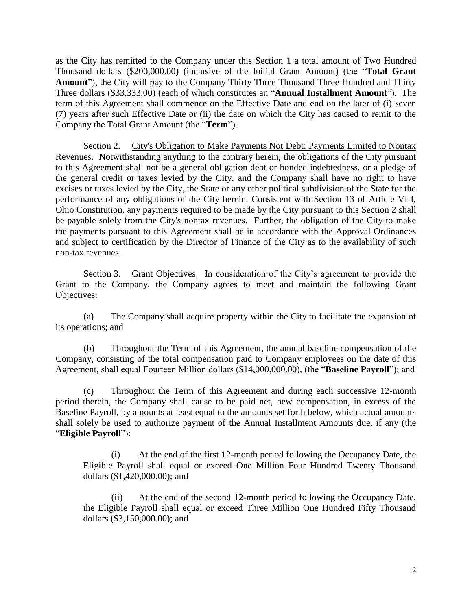as the City has remitted to the Company under this Section 1 a total amount of Two Hundred Thousand dollars (\$200,000.00) (inclusive of the Initial Grant Amount) (the "**Total Grant Amount**"), the City will pay to the Company Thirty Three Thousand Three Hundred and Thirty Three dollars (\$33,333.00) (each of which constitutes an "**Annual Installment Amount**"). The term of this Agreement shall commence on the Effective Date and end on the later of (i) seven (7) years after such Effective Date or (ii) the date on which the City has caused to remit to the Company the Total Grant Amount (the "**Term**").

Section 2. City's Obligation to Make Payments Not Debt: Payments Limited to Nontax Revenues. Notwithstanding anything to the contrary herein, the obligations of the City pursuant to this Agreement shall not be a general obligation debt or bonded indebtedness, or a pledge of the general credit or taxes levied by the City, and the Company shall have no right to have excises or taxes levied by the City, the State or any other political subdivision of the State for the performance of any obligations of the City herein. Consistent with Section 13 of Article VIII, Ohio Constitution, any payments required to be made by the City pursuant to this Section 2 shall be payable solely from the City's nontax revenues. Further, the obligation of the City to make the payments pursuant to this Agreement shall be in accordance with the Approval Ordinances and subject to certification by the Director of Finance of the City as to the availability of such non-tax revenues.

Section 3. Grant Objectives. In consideration of the City's agreement to provide the Grant to the Company, the Company agrees to meet and maintain the following Grant Objectives:

(a) The Company shall acquire property within the City to facilitate the expansion of its operations; and

(b) Throughout the Term of this Agreement, the annual baseline compensation of the Company, consisting of the total compensation paid to Company employees on the date of this Agreement, shall equal Fourteen Million dollars (\$14,000,000.00), (the "**Baseline Payroll**"); and

(c) Throughout the Term of this Agreement and during each successive 12-month period therein, the Company shall cause to be paid net, new compensation, in excess of the Baseline Payroll, by amounts at least equal to the amounts set forth below, which actual amounts shall solely be used to authorize payment of the Annual Installment Amounts due, if any (the "**Eligible Payroll**"):

(i) At the end of the first 12-month period following the Occupancy Date, the Eligible Payroll shall equal or exceed One Million Four Hundred Twenty Thousand dollars (\$1,420,000.00); and

(ii) At the end of the second 12-month period following the Occupancy Date, the Eligible Payroll shall equal or exceed Three Million One Hundred Fifty Thousand dollars (\$3,150,000.00); and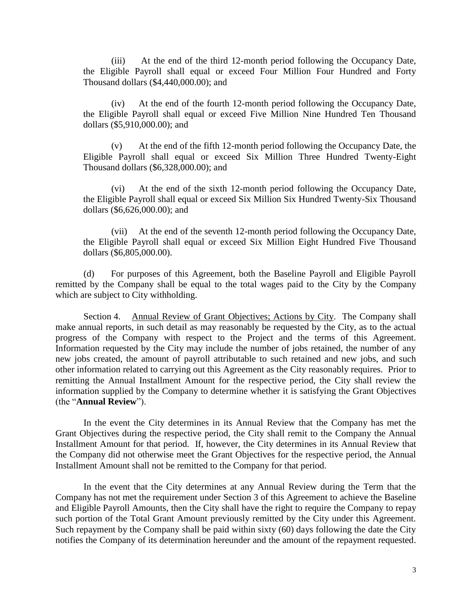(iii) At the end of the third 12-month period following the Occupancy Date, the Eligible Payroll shall equal or exceed Four Million Four Hundred and Forty Thousand dollars (\$4,440,000.00); and

(iv) At the end of the fourth 12-month period following the Occupancy Date, the Eligible Payroll shall equal or exceed Five Million Nine Hundred Ten Thousand dollars (\$5,910,000.00); and

(v) At the end of the fifth 12-month period following the Occupancy Date, the Eligible Payroll shall equal or exceed Six Million Three Hundred Twenty-Eight Thousand dollars (\$6,328,000.00); and

(vi) At the end of the sixth 12-month period following the Occupancy Date, the Eligible Payroll shall equal or exceed Six Million Six Hundred Twenty-Six Thousand dollars (\$6,626,000.00); and

(vii) At the end of the seventh 12-month period following the Occupancy Date, the Eligible Payroll shall equal or exceed Six Million Eight Hundred Five Thousand dollars (\$6,805,000.00).

(d) For purposes of this Agreement, both the Baseline Payroll and Eligible Payroll remitted by the Company shall be equal to the total wages paid to the City by the Company which are subject to City withholding.

Section 4. Annual Review of Grant Objectives; Actions by City. The Company shall make annual reports, in such detail as may reasonably be requested by the City, as to the actual progress of the Company with respect to the Project and the terms of this Agreement. Information requested by the City may include the number of jobs retained, the number of any new jobs created, the amount of payroll attributable to such retained and new jobs, and such other information related to carrying out this Agreement as the City reasonably requires. Prior to remitting the Annual Installment Amount for the respective period, the City shall review the information supplied by the Company to determine whether it is satisfying the Grant Objectives (the "**Annual Review**").

In the event the City determines in its Annual Review that the Company has met the Grant Objectives during the respective period, the City shall remit to the Company the Annual Installment Amount for that period. If, however, the City determines in its Annual Review that the Company did not otherwise meet the Grant Objectives for the respective period, the Annual Installment Amount shall not be remitted to the Company for that period.

In the event that the City determines at any Annual Review during the Term that the Company has not met the requirement under Section 3 of this Agreement to achieve the Baseline and Eligible Payroll Amounts, then the City shall have the right to require the Company to repay such portion of the Total Grant Amount previously remitted by the City under this Agreement. Such repayment by the Company shall be paid within sixty (60) days following the date the City notifies the Company of its determination hereunder and the amount of the repayment requested.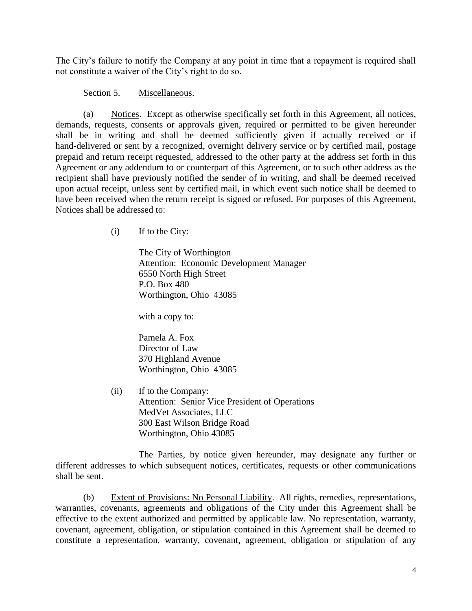The City's failure to notify the Company at any point in time that a repayment is required shall not constitute a waiver of the City's right to do so.

## Section 5. Miscellaneous.

(a) Notices. Except as otherwise specifically set forth in this Agreement, all notices, demands, requests, consents or approvals given, required or permitted to be given hereunder shall be in writing and shall be deemed sufficiently given if actually received or if hand-delivered or sent by a recognized, overnight delivery service or by certified mail, postage prepaid and return receipt requested, addressed to the other party at the address set forth in this Agreement or any addendum to or counterpart of this Agreement, or to such other address as the recipient shall have previously notified the sender of in writing, and shall be deemed received upon actual receipt, unless sent by certified mail, in which event such notice shall be deemed to have been received when the return receipt is signed or refused. For purposes of this Agreement, Notices shall be addressed to:

(i) If to the City:

The City of Worthington Attention: Economic Development Manager 6550 North High Street P.O. Box 480 Worthington, Ohio 43085

with a copy to:

Pamela A. Fox Director of Law 370 Highland Avenue Worthington, Ohio 43085

(ii) If to the Company: Attention: Senior Vice President of Operations MedVet Associates, LLC 300 East Wilson Bridge Road Worthington, Ohio 43085

The Parties, by notice given hereunder, may designate any further or different addresses to which subsequent notices, certificates, requests or other communications shall be sent.

(b) Extent of Provisions: No Personal Liability. All rights, remedies, representations, warranties, covenants, agreements and obligations of the City under this Agreement shall be effective to the extent authorized and permitted by applicable law. No representation, warranty, covenant, agreement, obligation, or stipulation contained in this Agreement shall be deemed to constitute a representation, warranty, covenant, agreement, obligation or stipulation of any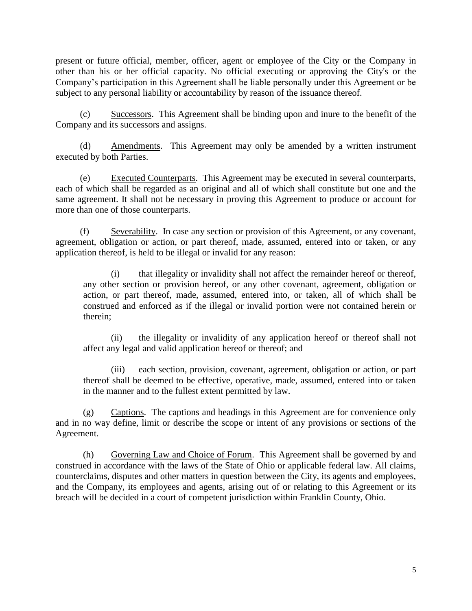present or future official, member, officer, agent or employee of the City or the Company in other than his or her official capacity. No official executing or approving the City's or the Company's participation in this Agreement shall be liable personally under this Agreement or be subject to any personal liability or accountability by reason of the issuance thereof.

(c) Successors. This Agreement shall be binding upon and inure to the benefit of the Company and its successors and assigns.

(d) Amendments. This Agreement may only be amended by a written instrument executed by both Parties.

(e) Executed Counterparts. This Agreement may be executed in several counterparts, each of which shall be regarded as an original and all of which shall constitute but one and the same agreement. It shall not be necessary in proving this Agreement to produce or account for more than one of those counterparts.

(f) Severability. In case any section or provision of this Agreement, or any covenant, agreement, obligation or action, or part thereof, made, assumed, entered into or taken, or any application thereof, is held to be illegal or invalid for any reason:

(i) that illegality or invalidity shall not affect the remainder hereof or thereof, any other section or provision hereof, or any other covenant, agreement, obligation or action, or part thereof, made, assumed, entered into, or taken, all of which shall be construed and enforced as if the illegal or invalid portion were not contained herein or therein;

(ii) the illegality or invalidity of any application hereof or thereof shall not affect any legal and valid application hereof or thereof; and

(iii) each section, provision, covenant, agreement, obligation or action, or part thereof shall be deemed to be effective, operative, made, assumed, entered into or taken in the manner and to the fullest extent permitted by law.

(g) Captions. The captions and headings in this Agreement are for convenience only and in no way define, limit or describe the scope or intent of any provisions or sections of the Agreement.

(h) Governing Law and Choice of Forum. This Agreement shall be governed by and construed in accordance with the laws of the State of Ohio or applicable federal law. All claims, counterclaims, disputes and other matters in question between the City, its agents and employees, and the Company, its employees and agents, arising out of or relating to this Agreement or its breach will be decided in a court of competent jurisdiction within Franklin County, Ohio.